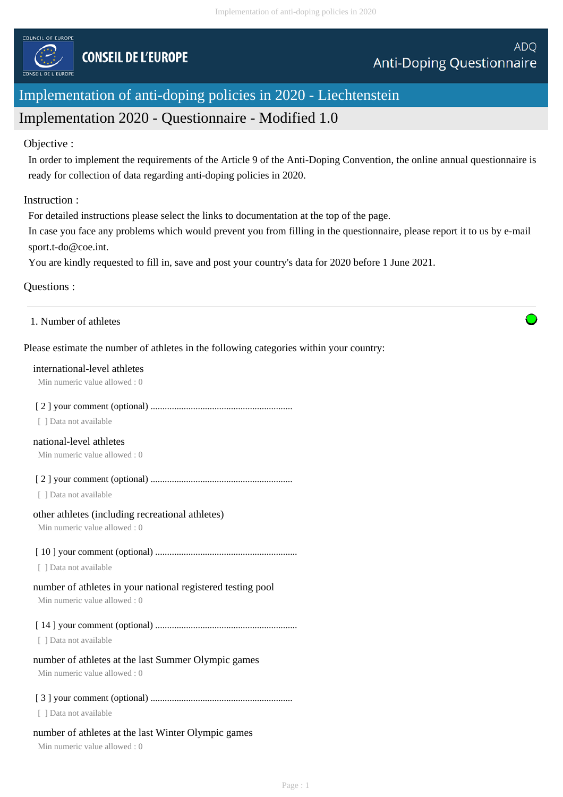

# Implementation of anti-doping policies in 2020 - Liechtenstein

## Implementation 2020 - Questionnaire - Modified 1.0

#### Objective :

In order to implement the requirements of the Article 9 of the Anti-Doping Convention, the online annual questionnaire is ready for collection of data regarding anti-doping policies in 2020.

#### Instruction :

For detailed instructions please select the links to documentation at the top of the page.

In case you face any problems which would prevent you from filling in the questionnaire, please report it to us by e-mail sport.t-do@coe.int.

You are kindly requested to fill in, save and post your country's data for 2020 before 1 June 2021.

#### Questions :

|  | 1. Number of athletes |
|--|-----------------------|
|--|-----------------------|

#### Please estimate the number of athletes in the following categories within your country:

#### international-level athletes

Min numeric value allowed : 0

#### [ 2 ] your comment (optional) ............................................................

[ ] Data not available

#### national-level athletes

Min numeric value allowed : 0

[ 2 ] your comment (optional) ............................................................

[ ] Data not available

#### other athletes (including recreational athletes)

Min numeric value allowed : 0

#### [ 10 ] your comment (optional) ............................................................

[ ] Data not available

## number of athletes in your national registered testing pool

Min numeric value allowed : 0

[ 14 ] your comment (optional) ............................................................

[ ] Data not available

## number of athletes at the last Summer Olympic games

Min numeric value allowed : 0

## [ 3 ] your comment (optional) ............................................................

[ ] Data not available

## number of athletes at the last Winter Olympic games

Min numeric value allowed : 0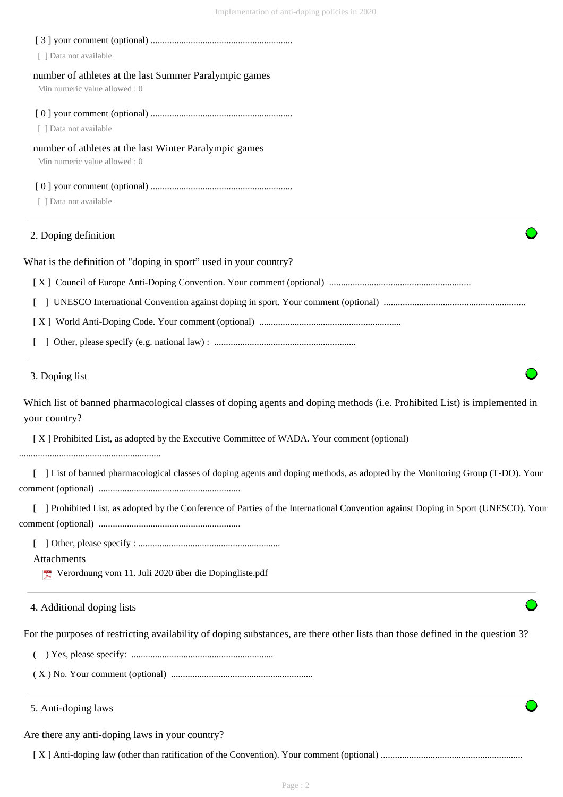| [ ] Data not available                                                                                                                     |
|--------------------------------------------------------------------------------------------------------------------------------------------|
| number of athletes at the last Summer Paralympic games<br>Min numeric value allowed: 0                                                     |
| [ ] Data not available                                                                                                                     |
| number of athletes at the last Winter Paralympic games<br>Min numeric value allowed: 0                                                     |
| [ ] Data not available                                                                                                                     |
| 2. Doping definition                                                                                                                       |
| What is the definition of "doping in sport" used in your country?                                                                          |
|                                                                                                                                            |
|                                                                                                                                            |
|                                                                                                                                            |
|                                                                                                                                            |
| 3. Doping list                                                                                                                             |
| Which list of banned pharmacological classes of doping agents and doping methods (i.e. Prohibited List) is implemented in<br>your country? |
| [X] Prohibited List, as adopted by the Executive Committee of WADA. Your comment (optional)                                                |
| [ ] List of banned pharmacological classes of doping agents and doping methods, as adopted by the Monitoring Group (T-DO). Your            |
| [ ] Prohibited List, as adopted by the Conference of Parties of the International Convention against Doping in Sport (UNESCO). Your        |
|                                                                                                                                            |
| Attachments<br>$\sum$ Verordnung vom 11. Juli 2020 über die Dopingliste.pdf                                                                |
| 4. Additional doping lists                                                                                                                 |
| For the purposes of restricting availability of doping substances, are there other lists than those defined in the question 3?             |
|                                                                                                                                            |
|                                                                                                                                            |
| 5. Anti-doping laws                                                                                                                        |

Are there any anti-doping laws in your country?

[ X ] Anti-doping law (other than ratification of the Convention). Your comment (optional) ............................................................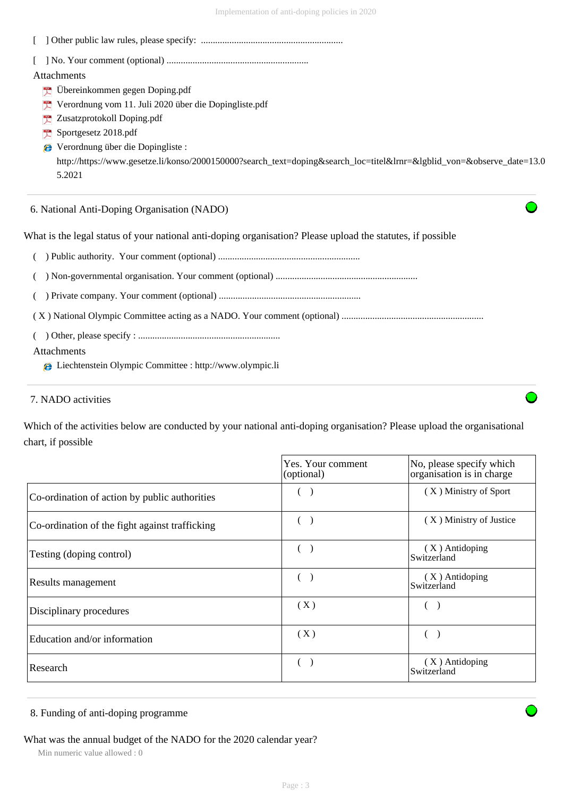[ ] Other public law rules, please specify: ............................................................

[ ] No. Your comment (optional) ............................................................

#### Attachments

- **E** Übereinkommen gegen Doping.pdf
- Verordnung vom 11. Juli 2020 über die Dopingliste.pdf
- **Zusatzprotokoll Doping.pdf**
- Sportgesetz 2018.pdf
- Verordnung über die Dopingliste : http://https://www.gesetze.li/konso/2000150000?search\_text=doping&search\_loc=titel&lrnr=&lgblid\_von=&observe\_date=13.0 5.2021

#### 6. National Anti-Doping Organisation (NADO)

What is the legal status of your national anti-doping organisation? Please upload the statutes, if possible

- ( ) Public authority. Your comment (optional) ............................................................
- ( ) Non-governmental organisation. Your comment (optional) ............................................................

( ) Private company. Your comment (optional) ............................................................

( X ) National Olympic Committee acting as a NADO. Your comment (optional) ............................................................

( ) Other, please specify : ............................................................

#### Attachments

Liechtenstein Olympic Committee : http://www.olympic.li

#### 7. NADO activities

Which of the activities below are conducted by your national anti-doping organisation? Please upload the organisational chart, if possible

|                                                | Yes. Your comment<br>(optional) | No, please specify which<br>organisation is in charge |
|------------------------------------------------|---------------------------------|-------------------------------------------------------|
| Co-ordination of action by public authorities  |                                 | (X) Ministry of Sport                                 |
| Co-ordination of the fight against trafficking |                                 | (X) Ministry of Justice                               |
| Testing (doping control)                       |                                 | $(X)$ Antidoping<br>Switzerland                       |
| Results management                             |                                 | $(X)$ Antidoping<br>Switzerland                       |
| Disciplinary procedures                        | (X)                             |                                                       |
| Education and/or information                   | (X)                             |                                                       |
| Research                                       |                                 | $(X)$ Antidoping<br>Switzerland                       |

#### 8. Funding of anti-doping programme

#### What was the annual budget of the NADO for the 2020 calendar year?

Min numeric value allowed : 0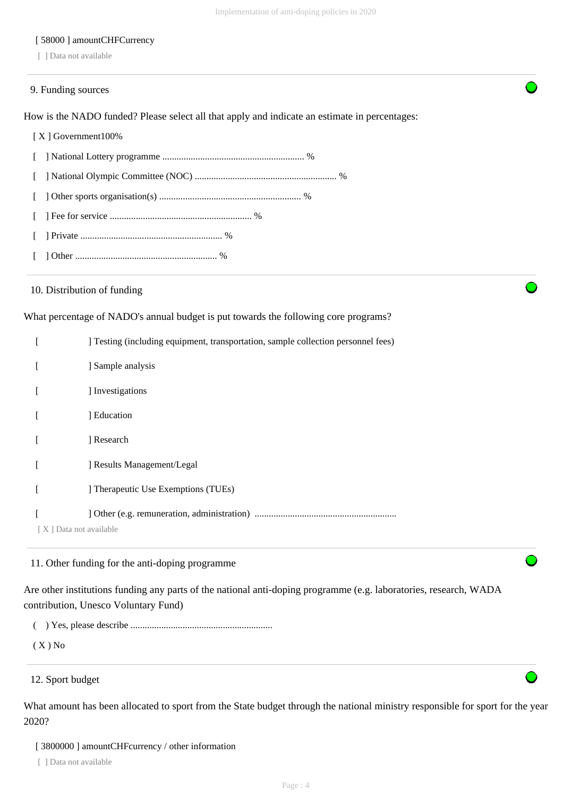#### [ 58000 ] amountCHFCurrency

[ ] Data not available

#### 9. Funding sources

How is the NADO funded? Please select all that apply and indicate an estimate in percentages:

#### [ X ] Government100%

 [ ] National Lottery programme ............................................................ % [ ] National Olympic Committee (NOC) ............................................................ % [ ] Other sports organisation(s) ............................................................ % [ ] Fee for service ............................................................ % [ ] Private ............................................................ % [ ] Other ............................................................ %

#### 10. Distribution of funding

What percentage of NADO's annual budget is put towards the following core programs?

|                        | ] Testing (including equipment, transportation, sample collection personnel fees) |
|------------------------|-----------------------------------------------------------------------------------|
|                        | ] Sample analysis                                                                 |
|                        | ] Investigations                                                                  |
|                        | ] Education                                                                       |
|                        | ] Research                                                                        |
|                        | ] Results Management/Legal                                                        |
|                        | ] Therapeutic Use Exemptions (TUEs)                                               |
|                        |                                                                                   |
| [X] Data not available |                                                                                   |

#### 11. Other funding for the anti-doping programme

Are other institutions funding any parts of the national anti-doping programme (e.g. laboratories, research, WADA contribution, Unesco Voluntary Fund)

( ) Yes, please describe ............................................................

 $(X)$  No

#### 12. Sport budget

What amount has been allocated to sport from the State budget through the national ministry responsible for sport for the year 2020?

[ 3800000 ] amountCHFcurrency / other information

[ ] Data not available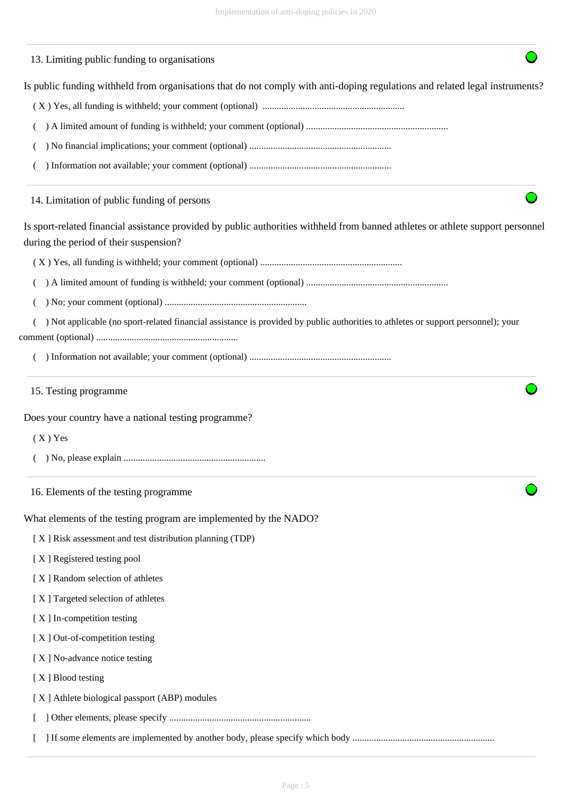# Is public funding withheld from organisations that do not comply with anti-doping regulations and related legal instruments? ( X ) Yes, all funding is withheld; your comment (optional) ............................................................ ( ) A limited amount of funding is withheld; your comment (optional) ............................................................ ( ) No financial implications; your comment (optional) ............................................................ ( ) Information not available; your comment (optional) ............................................................ Is sport-related financial assistance provided by public authorities withheld from banned athletes or athlete support personnel during the period of their suspension? ( X ) Yes, all funding is withheld; your comment (optional) ............................................................ ( ) A limited amount of funding is withheld; your comment (optional) ............................................................ ( ) No; your comment (optional) ............................................................ ( ) Not applicable (no sport-related financial assistance is provided by public authorities to athletes or support personnel); your comment (optional) ............................................................ ( ) Information not available; your comment (optional) ............................................................ Does your country have a national testing programme?  $(X)$  Yes ( ) No, please explain ............................................................ What elements of the testing program are implemented by the NADO? [ X ] Risk assessment and test distribution planning (TDP) [ X ] Registered testing pool [ X ] Random selection of athletes [ X ] Targeted selection of athletes [ X ] In-competition testing [X] Out-of-competition testing [X ] No-advance notice testing [X ] Blood testing [ X ] Athlete biological passport (ABP) modules [ ] Other elements, please specify ............................................................ [ ] If some elements are implemented by another body, please specify which body ............................................................ 13. Limiting public funding to organisations 14. Limitation of public funding of persons 15. Testing programme 16. Elements of the testing programme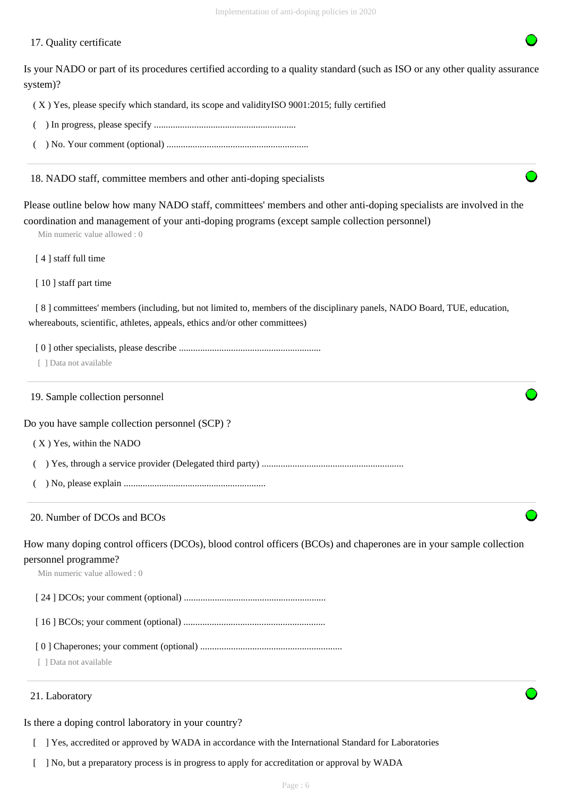#### 17. Quality certificate

Is your NADO or part of its procedures certified according to a quality standard (such as ISO or any other quality assurance system)?

( X ) Yes, please specify which standard, its scope and validityISO 9001:2015; fully certified

- ( ) In progress, please specify ............................................................
- ( ) No. Your comment (optional) ............................................................

18. NADO staff, committee members and other anti-doping specialists

Please outline below how many NADO staff, committees' members and other anti-doping specialists are involved in the coordination and management of your anti-doping programs (except sample collection personnel)

Min numeric value allowed : 0

[4] staff full time

[10] staff part time

 [ 8 ] committees' members (including, but not limited to, members of the disciplinary panels, NADO Board, TUE, education, whereabouts, scientific, athletes, appeals, ethics and/or other committees)

[ 0 ] other specialists, please describe ............................................................

[ ] Data not available

#### 19. Sample collection personnel

Do you have sample collection personnel (SCP) ?

( X ) Yes, within the NADO

( ) Yes, through a service provider (Delegated third party) ............................................................

( ) No, please explain ............................................................

#### 20. Number of DCOs and BCOs

How many doping control officers (DCOs), blood control officers (BCOs) and chaperones are in your sample collection personnel programme?

Min numeric value allowed : 0

[ 24 ] DCOs; your comment (optional) ............................................................

[ 16 ] BCOs; your comment (optional) ............................................................

[ 0 ] Chaperones; your comment (optional) ............................................................

[ ] Data not available

#### 21. Laboratory

Is there a doping control laboratory in your country?

[ ] Yes, accredited or approved by WADA in accordance with the International Standard for Laboratories

[ ] No, but a preparatory process is in progress to apply for accreditation or approval by WADA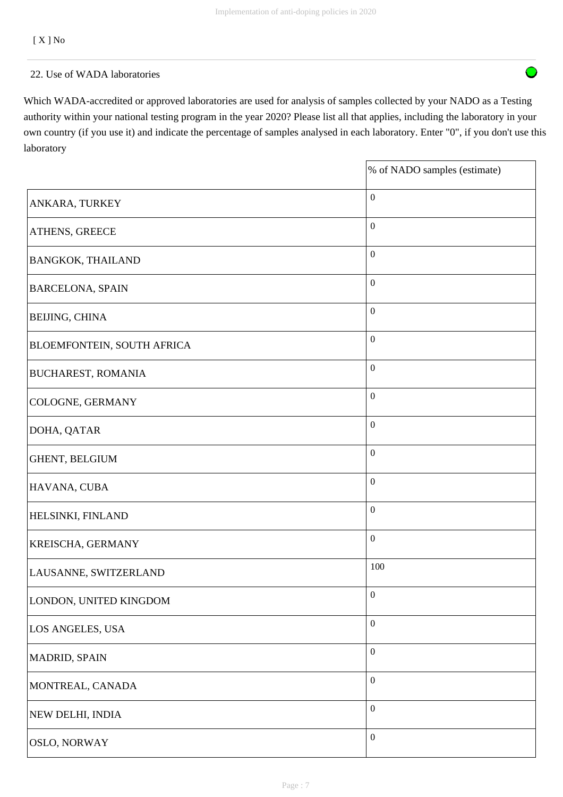$\bigcirc$ 

#### 22. Use of WADA laboratories

Which WADA-accredited or approved laboratories are used for analysis of samples collected by your NADO as a Testing authority within your national testing program in the year 2020? Please list all that applies, including the laboratory in your own country (if you use it) and indicate the percentage of samples analysed in each laboratory. Enter "0", if you don't use this laboratory

 $\overline{r}$ 

|                                   | % of NADO samples (estimate) |
|-----------------------------------|------------------------------|
| ANKARA, TURKEY                    | $\boldsymbol{0}$             |
| ATHENS, GREECE                    | $\boldsymbol{0}$             |
| <b>BANGKOK, THAILAND</b>          | $\boldsymbol{0}$             |
| <b>BARCELONA, SPAIN</b>           | $\boldsymbol{0}$             |
| <b>BEIJING, CHINA</b>             | $\boldsymbol{0}$             |
| <b>BLOEMFONTEIN, SOUTH AFRICA</b> | $\boldsymbol{0}$             |
| <b>BUCHAREST, ROMANIA</b>         | $\boldsymbol{0}$             |
| COLOGNE, GERMANY                  | $\boldsymbol{0}$             |
| DOHA, QATAR                       | $\boldsymbol{0}$             |
| GHENT, BELGIUM                    | $\boldsymbol{0}$             |
| HAVANA, CUBA                      | $\boldsymbol{0}$             |
| HELSINKI, FINLAND                 | $\boldsymbol{0}$             |
| KREISCHA, GERMANY                 | $\boldsymbol{0}$             |
| LAUSANNE, SWITZERLAND             | 100                          |
| LONDON, UNITED KINGDOM            | $\boldsymbol{0}$             |
| LOS ANGELES, USA                  | $\boldsymbol{0}$             |
| MADRID, SPAIN                     | $\boldsymbol{0}$             |
| MONTREAL, CANADA                  | $\boldsymbol{0}$             |
| NEW DELHI, INDIA                  | $\boldsymbol{0}$             |
| OSLO, NORWAY                      | $\boldsymbol{0}$             |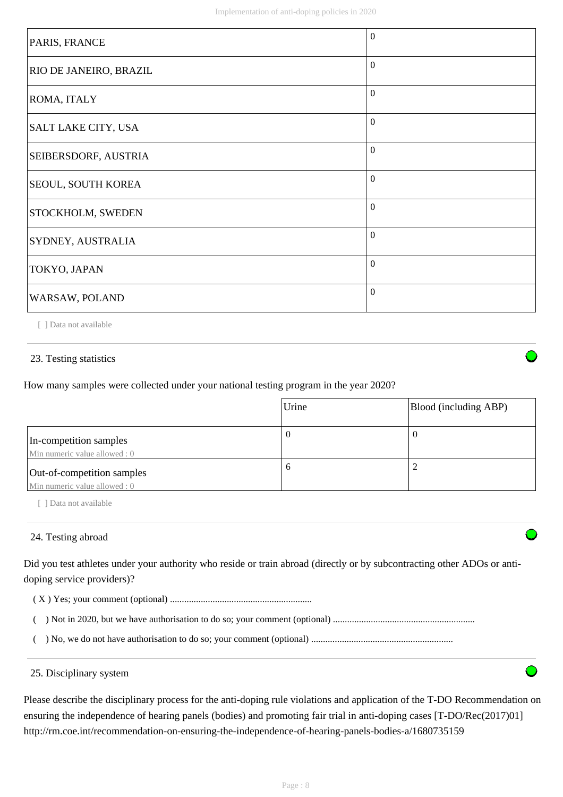| PARIS, FRANCE                 | $\Omega$ |
|-------------------------------|----------|
| <b>RIO DE JANEIRO, BRAZIL</b> | $\Omega$ |
| ROMA, ITALY                   | $\Omega$ |
| SALT LAKE CITY, USA           | $\Omega$ |
| <b>SEIBERSDORF, AUSTRIA</b>   | $\Omega$ |
| <b>SEOUL, SOUTH KOREA</b>     | $\theta$ |
| <b>STOCKHOLM, SWEDEN</b>      | $\theta$ |
| <b>SYDNEY, AUSTRALIA</b>      | $\Omega$ |
| TOKYO, JAPAN                  | $\Omega$ |
| WARSAW, POLAND                | $\theta$ |

[ ] Data not available

## 23. Testing statistics

How many samples were collected under your national testing program in the year 2020?

|                                                             | Urine | Blood (including ABP) |
|-------------------------------------------------------------|-------|-----------------------|
| In-competition samples<br>Min numeric value allowed : 0     |       | v                     |
| Out-of-competition samples<br>Min numeric value allowed : 0 | O     |                       |

[ ] Data not available

## 24. Testing abroad

Did you test athletes under your authority who reside or train abroad (directly or by subcontracting other ADOs or antidoping service providers)?

( X ) Yes; your comment (optional) ............................................................

( ) Not in 2020, but we have authorisation to do so; your comment (optional) ............................................................

( ) No, we do not have authorisation to do so; your comment (optional) ............................................................

#### 25. Disciplinary system

Please describe the disciplinary process for the anti-doping rule violations and application of the T-DO Recommendation on ensuring the independence of hearing panels (bodies) and promoting fair trial in anti-doping cases [T-DO/Rec(2017)01] http://rm.coe.int/recommendation-on-ensuring-the-independence-of-hearing-panels-bodies-a/1680735159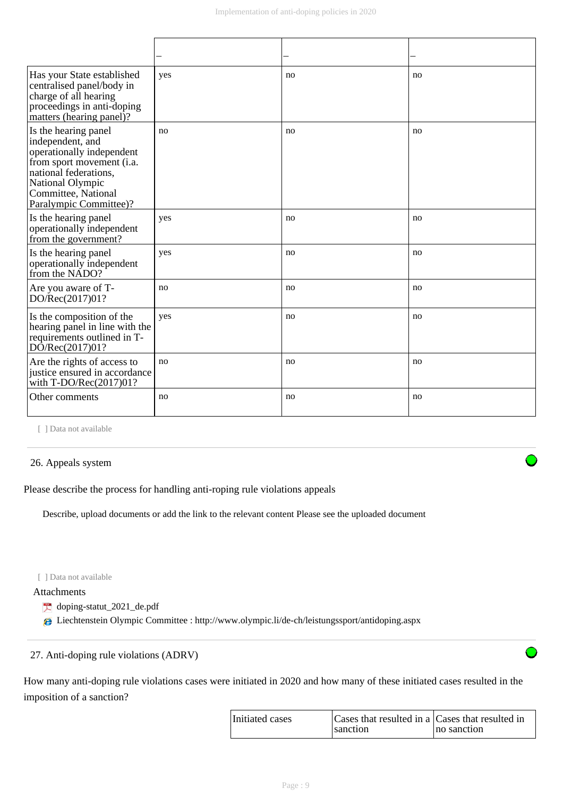| Has your State established<br>centralised panel/body in<br>charge of all hearing<br>proceedings in anti-doping<br>matters (hearing panel)?                                                       | yes | no | no |
|--------------------------------------------------------------------------------------------------------------------------------------------------------------------------------------------------|-----|----|----|
| Is the hearing panel<br>independent, and<br>operationally independent<br>from sport movement (i.a.<br>national federations,<br>National Olympic<br>Committee, National<br>Paralympic Committee)? | no  | no | no |
| Is the hearing panel<br>operationally independent<br>from the government?                                                                                                                        | yes | no | no |
| Is the hearing panel<br>operationally independent<br>from the NADO?                                                                                                                              | yes | no | no |
| Are you aware of T-<br>DO/Rec(2017)01?                                                                                                                                                           | no  | no | no |
| Is the composition of the<br>hearing panel in line with the<br>requirements outlined in T-<br>DO/Rec(2017)01?                                                                                    | yes | no | no |
| Are the rights of access to<br>justice ensured in accordance<br>with T-DO/Rec(2017)01?                                                                                                           | no  | no | no |
| Other comments                                                                                                                                                                                   | no  | no | no |

[ ] Data not available

#### 26. Appeals system

Please describe the process for handling anti-roping rule violations appeals

Describe, upload documents or add the link to the relevant content Please see the uploaded document

[ ] Data not available

#### Attachments

doping-statut\_2021\_de.pdf

Liechtenstein Olympic Committee : http://www.olympic.li/de-ch/leistungssport/antidoping.aspx

#### 27. Anti-doping rule violations (ADRV)

How many anti-doping rule violations cases were initiated in 2020 and how many of these initiated cases resulted in the imposition of a sanction?

| Initiated cases | Cases that resulted in a Cases that resulted in |             |
|-----------------|-------------------------------------------------|-------------|
|                 | sanction                                        | no sanction |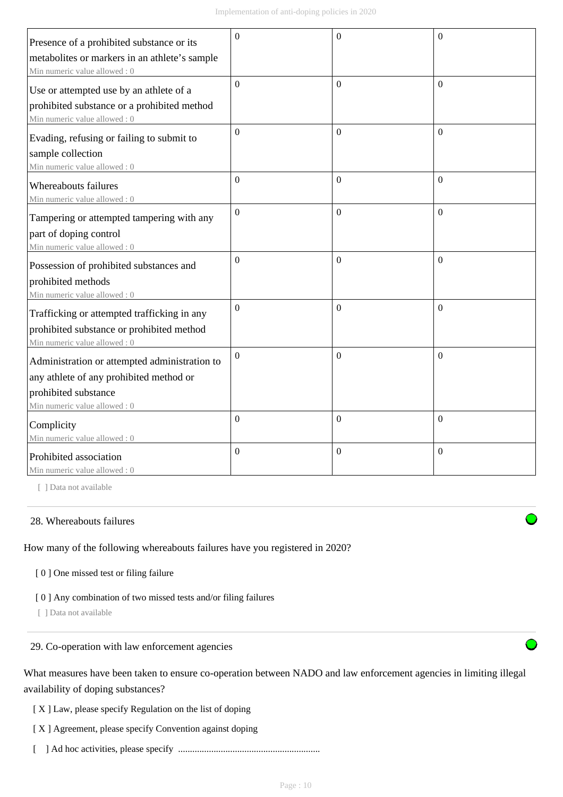|                                               | $\theta$         | $\overline{0}$   | $\theta$         |
|-----------------------------------------------|------------------|------------------|------------------|
| Presence of a prohibited substance or its     |                  |                  |                  |
| metabolites or markers in an athlete's sample |                  |                  |                  |
| Min numeric value allowed: 0                  |                  |                  |                  |
| Use or attempted use by an athlete of a       | $\mathbf{0}$     | $\mathbf{0}$     | $\Omega$         |
| prohibited substance or a prohibited method   |                  |                  |                  |
| Min numeric value allowed: 0                  |                  |                  |                  |
| Evading, refusing or failing to submit to     | $\boldsymbol{0}$ | $\Omega$         | $\theta$         |
| sample collection                             |                  |                  |                  |
| Min numeric value allowed: 0                  |                  |                  |                  |
| Whereabouts failures                          | $\overline{0}$   | $\mathbf{0}$     | $\theta$         |
| Min numeric value allowed: 0                  |                  |                  |                  |
| Tampering or attempted tampering with any     | $\boldsymbol{0}$ | $\mathbf{0}$     | $\theta$         |
| part of doping control                        |                  |                  |                  |
| Min numeric value allowed: 0                  |                  |                  |                  |
| Possession of prohibited substances and       | $\boldsymbol{0}$ | $\boldsymbol{0}$ | $\theta$         |
| prohibited methods                            |                  |                  |                  |
| Min numeric value allowed: 0                  |                  |                  |                  |
| Trafficking or attempted trafficking in any   | $\overline{0}$   | $\overline{0}$   | $\Omega$         |
| prohibited substance or prohibited method     |                  |                  |                  |
| Min numeric value allowed: 0                  |                  |                  |                  |
| Administration or attempted administration to | $\mathbf{0}$     | $\mathbf{0}$     | $\Omega$         |
| any athlete of any prohibited method or       |                  |                  |                  |
| prohibited substance                          |                  |                  |                  |
| Min numeric value allowed: 0                  |                  |                  |                  |
| Complicity                                    | $\boldsymbol{0}$ | $\boldsymbol{0}$ | $\theta$         |
| Min numeric value allowed: 0                  |                  |                  |                  |
| Prohibited association                        | $\boldsymbol{0}$ | $\boldsymbol{0}$ | $\boldsymbol{0}$ |
| Min numeric value allowed: 0                  |                  |                  |                  |

[ ] Data not available

#### 28. Whereabouts failures

How many of the following whereabouts failures have you registered in 2020?

[ 0 ] One missed test or filing failure

[ 0 ] Any combination of two missed tests and/or filing failures

[ ] Data not available

29. Co-operation with law enforcement agencies

What measures have been taken to ensure co-operation between NADO and law enforcement agencies in limiting illegal availability of doping substances?

[ X ] Law, please specify Regulation on the list of doping

[ X ] Agreement, please specify Convention against doping

[ ] Ad hoc activities, please specify ............................................................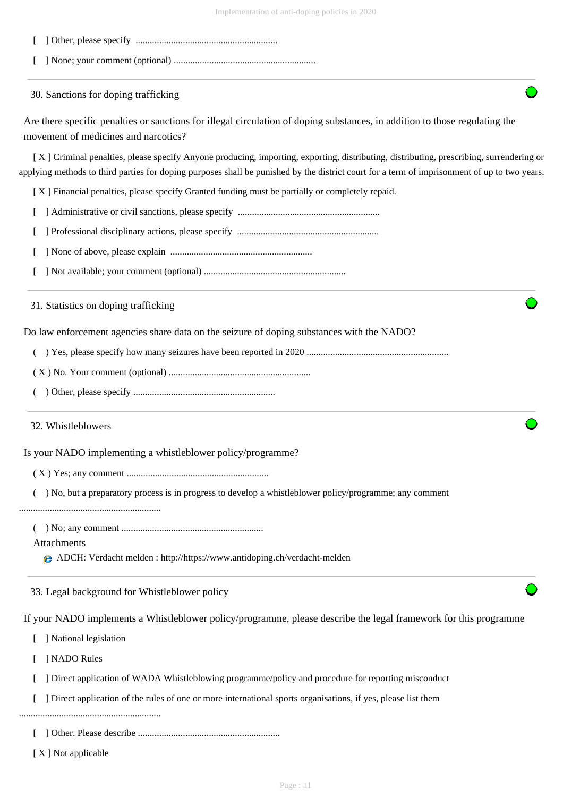- [ ] Other, please specify ............................................................
- [ ] None; your comment (optional) ............................................................

30. Sanctions for doping trafficking

Are there specific penalties or sanctions for illegal circulation of doping substances, in addition to those regulating the movement of medicines and narcotics?

 [ X ] Criminal penalties, please specify Anyone producing, importing, exporting, distributing, distributing, prescribing, surrendering or applying methods to third parties for doping purposes shall be punished by the district court for a term of imprisonment of up to two years.

[ X ] Financial penalties, please specify Granted funding must be partially or completely repaid.

- [ ] Administrative or civil sanctions, please specify ............................................................
- [ ] Professional disciplinary actions, please specify ............................................................
- [ ] None of above, please explain ............................................................
- [ ] Not available; your comment (optional) ............................................................

31. Statistics on doping trafficking

Do law enforcement agencies share data on the seizure of doping substances with the NADO?

- ( ) Yes, please specify how many seizures have been reported in 2020 ............................................................
- ( X ) No. Your comment (optional) ............................................................
- ( ) Other, please specify ............................................................

32. Whistleblowers

Is your NADO implementing a whistleblower policy/programme?

( X ) Yes; any comment ............................................................

( ) No, but a preparatory process is in progress to develop a whistleblower policy/programme; any comment

............................................................

( ) No; any comment ............................................................

Attachments

ADCH: Verdacht melden : http://https://www.antidoping.ch/verdacht-melden

33. Legal background for Whistleblower policy

If your NADO implements a Whistleblower policy/programme, please describe the legal framework for this programme

- [ ] National legislation
- [ ] NADO Rules
- [ ] Direct application of WADA Whistleblowing programme/policy and procedure for reporting misconduct
- [ ] Direct application of the rules of one or more international sports organisations, if yes, please list them

............................................................

[ ] Other. Please describe ............................................................

[X ] Not applicable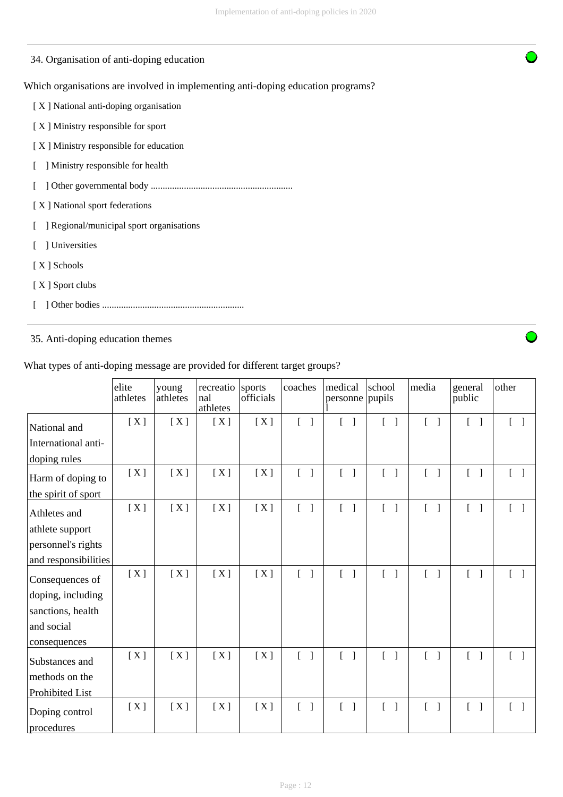#### 34. Organisation of anti-doping education

#### Which organisations are involved in implementing anti-doping education programs?

- [ X ] National anti-doping organisation
- [ X ] Ministry responsible for sport
- [ X ] Ministry responsible for education
- [ ] Ministry responsible for health
- [ ] Other governmental body ............................................................
- [ X ] National sport federations
- [ ] Regional/municipal sport organisations
- [ ] Universities
- [ X ] Schools
- [ X ] Sport clubs
- [ ] Other bodies ............................................................

#### 35. Anti-doping education themes

#### What types of anti-doping message are provided for different target groups?

|                      | elite<br>athletes | young<br>athletes | recreatio<br>nal<br>athletes | sports<br>officials | coaches                           | medical<br>personne pupils        | school                            | media                             | general<br>public                 | other                             |
|----------------------|-------------------|-------------------|------------------------------|---------------------|-----------------------------------|-----------------------------------|-----------------------------------|-----------------------------------|-----------------------------------|-----------------------------------|
| National and         | [X]               | [X]               | [X]                          | [X]                 | $\begin{bmatrix} 1 \end{bmatrix}$ | $\begin{bmatrix} 1 \end{bmatrix}$ | $\begin{bmatrix} 1 \end{bmatrix}$ | $\begin{bmatrix} 1 \end{bmatrix}$ | $\begin{bmatrix} 1 \end{bmatrix}$ | $\begin{bmatrix} 1 \end{bmatrix}$ |
| International anti-  |                   |                   |                              |                     |                                   |                                   |                                   |                                   |                                   |                                   |
| doping rules         |                   |                   |                              |                     |                                   |                                   |                                   |                                   |                                   |                                   |
| Harm of doping to    | [X]               | [X]               | [X]                          | [X]                 | $\begin{bmatrix} 1 \end{bmatrix}$ | $\begin{bmatrix} 1 \end{bmatrix}$ | $\begin{bmatrix} 1 \end{bmatrix}$ | $\begin{bmatrix} 1 \end{bmatrix}$ | $\begin{bmatrix} 1 \end{bmatrix}$ | $\lceil \cdot \rceil$             |
| the spirit of sport  |                   |                   |                              |                     |                                   |                                   |                                   |                                   |                                   |                                   |
| Athletes and         | [X]               | [X]               | [X]                          | [X]                 | $\lceil \rceil$                   | $\overline{a}$<br>$\Box$          | $[ \ ]$                           | $\begin{bmatrix} 1 \end{bmatrix}$ | $\begin{bmatrix} 1 \end{bmatrix}$ | $\begin{bmatrix} 1 \end{bmatrix}$ |
| athlete support      |                   |                   |                              |                     |                                   |                                   |                                   |                                   |                                   |                                   |
| personnel's rights   |                   |                   |                              |                     |                                   |                                   |                                   |                                   |                                   |                                   |
| and responsibilities |                   |                   |                              |                     |                                   |                                   |                                   |                                   |                                   |                                   |
| Consequences of      | [X]               | [X]               | [X]                          | [X]                 | $\lceil \cdot \rceil$             | $\overline{1}$<br>$\Box$          | $[ \ ]$                           | $\lceil \cdot \rceil$             | $\begin{bmatrix} 1 \end{bmatrix}$ | $\lceil \cdot \rceil$             |
| doping, including    |                   |                   |                              |                     |                                   |                                   |                                   |                                   |                                   |                                   |
| sanctions, health    |                   |                   |                              |                     |                                   |                                   |                                   |                                   |                                   |                                   |
| and social           |                   |                   |                              |                     |                                   |                                   |                                   |                                   |                                   |                                   |
| consequences         |                   |                   |                              |                     |                                   |                                   |                                   |                                   |                                   |                                   |
| Substances and       | [X]               | [X]               | [X]                          | [X]                 | $\begin{bmatrix} 1 \end{bmatrix}$ | $\begin{bmatrix} 1 \end{bmatrix}$ | $\begin{bmatrix} 1 \end{bmatrix}$ | $\begin{bmatrix} 1 \end{bmatrix}$ | $\begin{bmatrix} 1 \end{bmatrix}$ | $\begin{bmatrix} 1 \end{bmatrix}$ |
| methods on the       |                   |                   |                              |                     |                                   |                                   |                                   |                                   |                                   |                                   |
| Prohibited List      |                   |                   |                              |                     |                                   |                                   |                                   |                                   |                                   |                                   |
| Doping control       | [X]               | [X]               | [X]                          | [X]                 | $\begin{bmatrix} 1 \end{bmatrix}$ | $\begin{bmatrix} 1 \end{bmatrix}$ | $\begin{bmatrix} 1 \end{bmatrix}$ | $\begin{bmatrix} 1 \end{bmatrix}$ | $\begin{bmatrix} 1 \end{bmatrix}$ | $\begin{bmatrix} 1 \end{bmatrix}$ |
| procedures           |                   |                   |                              |                     |                                   |                                   |                                   |                                   |                                   |                                   |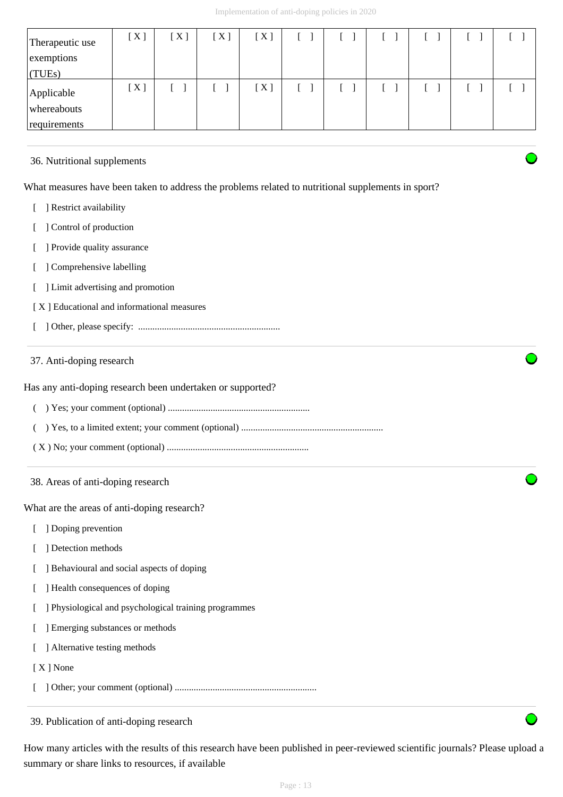| Therapeutic use<br>exemptions<br>(TUEs)   | [X] | [X] | [X] | [X] |  |  |  |
|-------------------------------------------|-----|-----|-----|-----|--|--|--|
| Applicable<br>whereabouts<br>requirements | [X] |     |     | [X] |  |  |  |

#### 36. Nutritional supplements

What measures have been taken to address the problems related to nutritional supplements in sport?

- [ ] Restrict availability
- [ ] Control of production
- [ ] Provide quality assurance
- [ ] Comprehensive labelling
- [ ] Limit advertising and promotion
- [ X ] Educational and informational measures
- [ ] Other, please specify: ............................................................

#### 37. Anti-doping research

Has any anti-doping research been undertaken or supported?

- ( ) Yes; your comment (optional) ............................................................
- ( ) Yes, to a limited extent; your comment (optional) ............................................................
- ( X ) No; your comment (optional) ............................................................
- 38. Areas of anti-doping research

What are the areas of anti-doping research?

- [ ] Doping prevention
- [ ] Detection methods
- [ ] Behavioural and social aspects of doping
- [ ] Health consequences of doping
- [ ] Physiological and psychological training programmes
- [ ] Emerging substances or methods
- [ ] Alternative testing methods
- [ X ] None
- [ ] Other; your comment (optional) ............................................................

39. Publication of anti-doping research

How many articles with the results of this research have been published in peer-reviewed scientific journals? Please upload a summary or share links to resources, if available